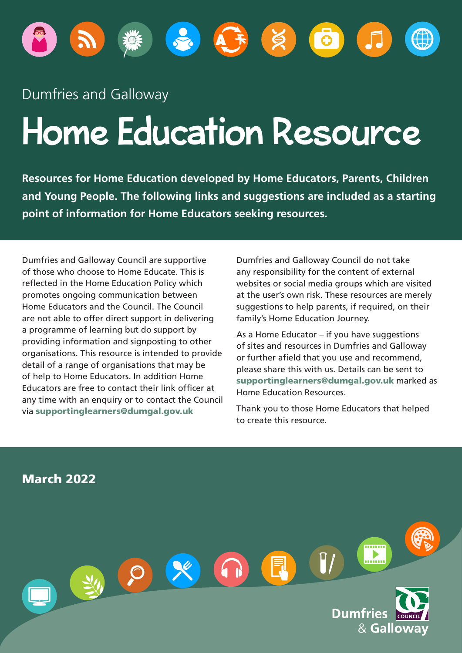

# Dumfries and Galloway

# Home Education Resource

**Resources for Home Education developed by Home Educators, Parents, Children and Young People. The following links and suggestions are included as a starting point of information for Home Educators seeking resources.** 

Dumfries and Galloway Council are supportive of those who choose to Home Educate. This is reflected in the Home Education Policy which promotes ongoing communication between Home Educators and the Council. The Council are not able to offer direct support in delivering a programme of learning but do support by providing information and signposting to other organisations. This resource is intended to provide detail of a range of organisations that may be of help to Home Educators. In addition Home Educators are free to contact their link officer at any time with an enquiry or to contact the Council via [supportinglearners@dumgal.gov.uk](mailto:supportinglearners@dumgal.gov.uk)

Dumfries and Galloway Council do not take any responsibility for the content of external websites or social media groups which are visited at the user's own risk. These resources are merely suggestions to help parents, if required, on their family's Home Education Journey.

As a Home Educator – if you have suggestions of sites and resources in Dumfries and Galloway or further afield that you use and recommend. please share this with us. Details can be sent to supportinglearner[s@dumgal.gov.uk](mailto:Educationsupport@dumgal.gov.uk) marked as Home Education Resources.

Thank you to those Home Educators that helped to create this resource.

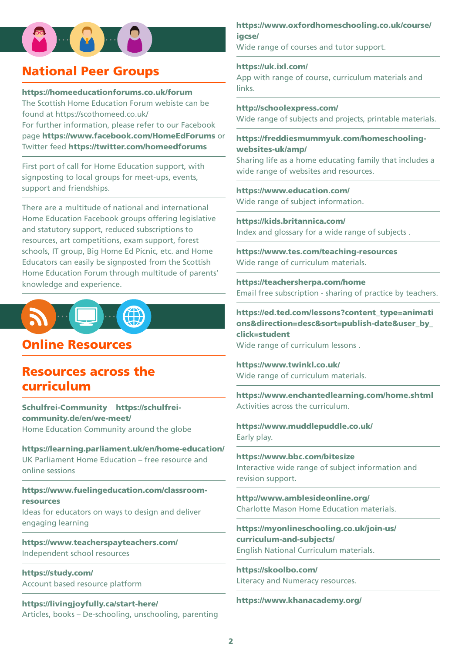# $\left( 8 - 8 - 9 \right)$

# National Peer Groups

#### <https://homeeducationforums.co.uk/forum>

The Scottish Home Education Forum webiste can be found at <https://scothomeed.co.uk/> For further information, please refer to our Facebook page <https://www.facebook.com/HomeEdForums> or Twitter feed <https://twitter.com/homeedforums>

First port of call for Home Education support, with signposting to local groups for meet-ups, events, support and friendships.

There are a multitude of national and international Home Education Facebook groups offering legislative and statutory support, reduced subscriptions to resources, art competitions, exam support, forest schools, IT group, Big Home Ed Picnic, etc. and Home Educators can easily be signposted from the Scottish Home Education Forum through multitude of parents' knowledge and experience.



### Online Resources

# Resources across the curriculum

 [Schulfrei-Community](https://schulfrei-community.de/en/) [https://schulfrei](https://schulfrei-community.de/en/we-meet/)[community.de/en/we-meet/](https://schulfrei-community.de/en/we-meet/) Home Education Community around the globe

 [https://learning.parliament.uk/en/home-education/](https://eur03.safelinks.protection.outlook.com/?url=https%3A%2F%2Flearning.parliament.uk%2Fen%2Fhome-education%2F&data=04|01||f9a6f9eb698f49963dfb08d9a37c0ce7|bd2e1df68d5a4867a647487c2a7402de|0|0|637720576568165566|Unknown|TWFpbGZsb3d8eyJWIjoiMC4wLjAwMDAiLCJQIjoiV2luMzIiLCJBTiI6Ik1haWwiLCJXVCI6Mn0%3D|3000&sdata=uQI7%2BCypodovUL6TPo5CD%2FNOygr2e1kRF3wbxxlBUMY%3D&reserved=0) UK Parliament Home Education – free resource and online sessions

[https://www.fuelingeducation.com/classroom](https://www.fuelingeducation.com/classroom-resources)[resources](https://www.fuelingeducation.com/classroom-resources) 

Ideas for educators on ways to design and deliver engaging learning

[https://www.teacherspayteachers.com/](https://eur03.safelinks.protection.outlook.com/?url=https%3A%2F%2Fwww.teacherspayteachers.com%2F&data=04|01||f9a6f9eb698f49963dfb08d9a37c0ce7|bd2e1df68d5a4867a647487c2a7402de|0|0|637720576568075959|Unknown|TWFpbGZsb3d8eyJWIjoiMC4wLjAwMDAiLCJQIjoiV2luMzIiLCJBTiI6Ik1haWwiLCJXVCI6Mn0%3D|3000&sdata=SgIenpYijiJLilk%2F1U2TMHPgjT%2FrEhX8Nq0tkBMtutg%3D&reserved=0) Independent school resources

 [https://study.com/](https://eur03.safelinks.protection.outlook.com/?url=https%3A%2F%2Fstudy.com%2F&data=04|01||f9a6f9eb698f49963dfb08d9a37c0ce7|bd2e1df68d5a4867a647487c2a7402de|0|0|637720576568155606|Unknown|TWFpbGZsb3d8eyJWIjoiMC4wLjAwMDAiLCJQIjoiV2luMzIiLCJBTiI6Ik1haWwiLCJXVCI6Mn0%3D|3000&sdata=rwPoWTdtEopZmjHGalYAQ9I7beFdbzJCAaYfX9YXiVY%3D&reserved=0) Account based resource platform

 <https://www.khanacademy.org/>[https://livingjoyfully.ca/start-here/](https://eur03.safelinks.protection.outlook.com/?url=https%3A%2F%2Flivingjoyfully.ca%2Fstart-here%2F&data=04|01||f9a6f9eb698f49963dfb08d9a37c0ce7|bd2e1df68d5a4867a647487c2a7402de|0|0|637720576568056043|Unknown|TWFpbGZsb3d8eyJWIjoiMC4wLjAwMDAiLCJQIjoiV2luMzIiLCJBTiI6Ik1haWwiLCJXVCI6Mn0%3D|3000&sdata=4igdMRY%2BBgtS8cLgiO4J9%2F%2BemWCEteLGR%2F5UQinigcs%3D&reserved=0) Articles, books – De-schooling, unschooling, parenting

[https://www.oxfordhomeschooling.co.uk/course/](https://www.oxfordhomeschooling.co.uk/course/igcse/)  [igcse/](https://www.oxfordhomeschooling.co.uk/course/igcse/) 

Wide range of courses and tutor support.

<https://uk.ixl.com/> App with range of course, curriculum materials and links.

<http://schoolexpress.com/> Wide range of subjects and projects, printable materials.

[https://freddiesmummyuk.com/homeschooling](https://freddiesmummyuk.com/homeschooling-websites-uk/amp/)[websites-uk/amp/](https://freddiesmummyuk.com/homeschooling-websites-uk/amp/)

Sharing life as a home educating family that includes a wide range of websites and resources.

<https://www.education.com/> Wide range of subject information.

<https://kids.britannica.com/> Index and glossary for a wide range of subjects .

<https://www.tes.com/teaching-resources> Wide range of curriculum materials.

<https://teachersherpa.com/home> Email free subscription - sharing of practice by teachers.

[https://ed.ted.com/lessons?content\\_type=animati](https://ed.ted.com/lessons?content_type=animations&direction=desc&sort=publish-date&user_by_click=student)  [ons&direction=desc&sort=publish-date&user\\_by\\_](https://ed.ted.com/lessons?content_type=animations&direction=desc&sort=publish-date&user_by_click=student)  [click=student](https://ed.ted.com/lessons?content_type=animations&direction=desc&sort=publish-date&user_by_click=student) 

Wide range of curriculum lessons .

<https://www.twinkl.co.uk/> Wide range of curriculum materials.

[https://www.enchantedlearning.com/home.shtml](https://eur03.safelinks.protection.outlook.com/?url=https%3A%2F%2Fwww.enchantedlearning.com%2Fhome.shtml&data=02%7C01%7C%7Ca4d786601bbe402f46d908d82e3cb3bf%7Cbd2e1df68d5a4867a647487c2a7402de%7C0%7C0%7C637310185544438691&sdata=GLqfWAQHN%2FXTcQ9I6Og2urteTKpU%2BNrcGkFCVNL4nOE%3D&reserved=0)  Activities across the curriculum.

<https://www.muddlepuddle.co.uk/> Early play.

<https://www.bbc.com/bitesize> Interactive wide range of subject information and revision support.

<http://www.amblesideonline.org/> Charlotte Mason Home Education materials.

[https://myonlineschooling.co.uk/join-us/](https://myonlineschooling.co.uk/join-us/curriculum-and-subjects/)  [curriculum-and-subjects/](https://myonlineschooling.co.uk/join-us/curriculum-and-subjects/) English National Curriculum materials.

<https://skoolbo.com/> Literacy and Numeracy resources.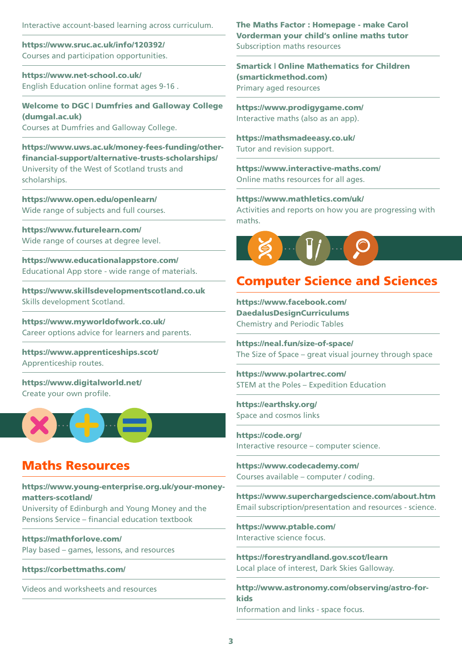Interactive account-based learning across curriculum.

<https://www.sruc.ac.uk/info/120392/> Courses and participation opportunities.

[https://www.net-school.co.uk/](https://eur03.safelinks.protection.outlook.com/?url=https%3A%2F%2Fwww.net-school.co.uk%2F&data=02%7C01%7C%7Ca4d786601bbe402f46d908d82e3cb3bf%7Cbd2e1df68d5a4867a647487c2a7402de%7C0%7C0%7C637310185544458602&sdata=%2B0kDxP79emfu1jEMPOgD1kIkfeKcOjeYcwENHhs46nY%3D&reserved=0) English Education online format ages 9-16 .

[Welcome to DGC | Dumfries and Galloway College](https://www.dumgal.ac.uk)  [\(dumgal.ac.uk\)](https://www.dumgal.ac.uk)  Courses at Dumfries and Galloway College.

[https://www.uws.ac.uk/money-fees-funding/other](https://www.uws.ac.uk/money-fees-funding/other-financial-support/alternative-trusts-scholarships/)[fnancial-support/alternative-trusts-scholarships/](https://www.uws.ac.uk/money-fees-funding/other-financial-support/alternative-trusts-scholarships/)  University of the West of Scotland trusts and scholarships.

<https://www.open.edu/openlearn/> Wide range of subjects and full courses.

<https://www.futurelearn.com/> Wide range of courses at degree level.

<https://www.educationalappstore.com/> Educational App store - wide range of materials.

 <https://www.skillsdevelopmentscotland.co.uk>Skills development Scotland.

 <https://www.myworldofwork.co.uk/>Career options advice for learners and parents.

<https://www.apprenticeships.scot/> Apprenticeship routes.

 <https://www.digitalworld.net/>Create your own profle.



#### Maths Resources

[https://www.young-enterprise.org.uk/your-money](https://www.young-enterprise.org.uk/your-money-matters-scotland/)[matters-scotland/](https://www.young-enterprise.org.uk/your-money-matters-scotland/) 

University of Edinburgh and Young Money and the Pensions Service – fnancial education textbook

[https://mathforlove.com/](https://eur03.safelinks.protection.outlook.com/?url=https%3A%2F%2Fmathforlove.com%2F&data=04|01||f9a6f9eb698f49963dfb08d9a37c0ce7|bd2e1df68d5a4867a647487c2a7402de|0|0|637720576568145644|Unknown|TWFpbGZsb3d8eyJWIjoiMC4wLjAwMDAiLCJQIjoiV2luMzIiLCJBTiI6Ik1haWwiLCJXVCI6Mn0%3D|3000&sdata=WsVobeMqbfpnHEuTHsD5%2BhWYOkRV6%2BW3dD8PYg3xci4%3D&reserved=0)  Play based – games, lessons, and resources

[https://corbettmaths.com/](https://eur03.safelinks.protection.outlook.com/?url=https%3A%2F%2Fcorbettmaths.com%2F&data=04|01||f9a6f9eb698f49963dfb08d9a37c0ce7|bd2e1df68d5a4867a647487c2a7402de|0|0|637720576568185474|Unknown|TWFpbGZsb3d8eyJWIjoiMC4wLjAwMDAiLCJQIjoiV2luMzIiLCJBTiI6Ik1haWwiLCJXVCI6Mn0%3D|3000&sdata=VAiDYo6gpNbrlZvG0PingWfXTetCK%2F3xyTpHyJTc%2BO0%3D&reserved=0) 

Videos and worksheets and resources

[The Maths Factor : Homepage - make Carol](https://www.themathsfactor.com/?gclid=Cj0KCQiAxc6PBhCEARIsAH8Hff36hPkW4yunLHMpzsdCi2K1Hr7RYdRLkwiB9ELZ5zNLuqH0mTddyB8aAkJAEALw_wcB)  [Vorderman your child's online maths tutor](https://www.themathsfactor.com/?gclid=Cj0KCQiAxc6PBhCEARIsAH8Hff36hPkW4yunLHMpzsdCi2K1Hr7RYdRLkwiB9ELZ5zNLuqH0mTddyB8aAkJAEALw_wcB) Subscription maths resources

[Smartick | Online Mathematics for Children](https://uk.smartickmethod.com/)  [\(smartickmethod.com\)](https://uk.smartickmethod.com/) Primary aged resources

<https://www.prodigygame.com/> Interactive maths (also as an app).

<https://mathsmadeeasy.co.uk/> Tutor and revision support.

<https://www.interactive-maths.com/> Online maths resources for all ages.

[https://www.mathletics.com/uk/](https://eur03.safelinks.protection.outlook.com/?url=https%3A%2F%2Fwww.mathletics.com%2Fuk%2F&data=02%7C01%7C%7Ca4d786601bbe402f46d908d82e3cb3bf%7Cbd2e1df68d5a4867a647487c2a7402de%7C0%7C0%7C637310185544418783&sdata=1tFNAWJXedqvrrC99G6BIF8Zy1Qr%2F8IY8JedAKT7rts%3D&reserved=0)  Activities and reports on how you are progressing with maths.



# Computer Science and Sciences

[https://www.facebook.com/](https://www.facebook.com/DaedalusDesignCurriculums)  [DaedalusDesignCurriculums](https://www.facebook.com/DaedalusDesignCurriculums) Chemistry and Periodic Tables

[https://neal.fun/size-of-space/](https://eur03.safelinks.protection.outlook.com/?url=https%3A%2F%2Fneal.fun%2Fsize-of-space%2F&data=04|01||f9a6f9eb698f49963dfb08d9a37c0ce7|bd2e1df68d5a4867a647487c2a7402de|0|0|637720576568155606|Unknown|TWFpbGZsb3d8eyJWIjoiMC4wLjAwMDAiLCJQIjoiV2luMzIiLCJBTiI6Ik1haWwiLCJXVCI6Mn0%3D|3000&sdata=Y%2BlWxSFw8O7nQxrB4SeirGsRdz7AHzfslScr7LRnW5g%3D&reserved=0) The Size of Space – great visual journey through space

[https://www.polartrec.com/](https://eur03.safelinks.protection.outlook.com/?url=https%3A%2F%2Fwww.polartrec.com%2F&data=04|01||f9a6f9eb698f49963dfb08d9a37c0ce7|bd2e1df68d5a4867a647487c2a7402de|0|0|637720576568215342|Unknown|TWFpbGZsb3d8eyJWIjoiMC4wLjAwMDAiLCJQIjoiV2luMzIiLCJBTiI6Ik1haWwiLCJXVCI6Mn0%3D|3000&sdata=MSYw7OKqps82%2Bw4Myu5EoIXvD07y9v%2BjFXhbV%2FFf5y0%3D&reserved=0) STEM at the Poles – Expedition Education

[https://earthsky.org/](https://earthsky.org) Space and cosmos links

<https://code.org/> Interactive resource – computer science.

<https://www.codecademy.com/> Courses available – computer / coding.

<https://www.superchargedscience.com/about.htm> Email subscription/presentation and resources - science.

<https://www.ptable.com/> Interactive science focus.

<https://forestryandland.gov.scot/learn> Local place of interest, Dark Skies Galloway.

[http://www.astronomy.com/observing/astro-for](http://www.astronomy.com/observing/astro-for-kids)[kids](http://www.astronomy.com/observing/astro-for-kids)  Information and links - space focus.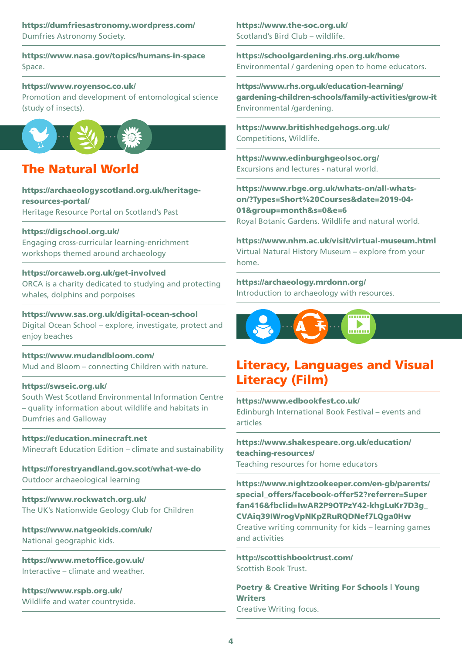#### <https://dumfriesastronomy.wordpress.com/> <https://www.the-soc.org.uk/> Dumfries Astronomy Society. The Scotland's Bird Club – wildlife.

<https://www.nasa.gov/topics/humans-in-space> Space.

#### [https://www.royensoc.co.uk/](https://eur03.safelinks.protection.outlook.com/?url=https%3A%2F%2Fwww.royensoc.co.uk%2F&data=02%7C01%7C%7Ca4d786601bbe402f46d908d82e3cb3bf%7Cbd2e1df68d5a4867a647487c2a7402de%7C0%7C0%7C637310185544458602&sdata=7vSo4%2B%2B%2BK0TIgAiOAvygRXRj87%2F%2BmXw97%2BZKd2VMuNs%3D&reserved=0)

Promotion and development of entomological science (study of insects).



# The Natural World

[https://archaeologyscotland.org.uk/heritage](https://archaeologyscotland.org.uk/heritage-resources-portal/)[resources-portal/](https://archaeologyscotland.org.uk/heritage-resources-portal/)  Heritage Resource Portal on Scotland's Past

#### [https://digschool.org.uk/](https://eur03.safelinks.protection.outlook.com/?url=https%3A%2F%2Fdigschool.org.uk%2F&data=04|01||f9a6f9eb698f49963dfb08d9a37c0ce7|bd2e1df68d5a4867a647487c2a7402de|0|0|637720576568175518|Unknown|TWFpbGZsb3d8eyJWIjoiMC4wLjAwMDAiLCJQIjoiV2luMzIiLCJBTiI6Ik1haWwiLCJXVCI6Mn0%3D|3000&sdata=pRVTf0TcdlVDBSjLBcN1JH%2B5E6UPeaBcoeOyt%2BZ0WHo%3D&reserved=0)

Engaging cross-curricular learning-enrichment workshops themed around archaeology

#### <https://orcaweb.org.uk/get-involved>

ORCA is a charity dedicated to studying and protecting whales, dolphins and porpoises

[https://www.sas.org.uk/digital-ocean-school](https://eur03.safelinks.protection.outlook.com/?url=https%3A%2F%2Fwww.sas.org.uk%2Fdigital-ocean-school&data=04|01||f9a6f9eb698f49963dfb08d9a37c0ce7|bd2e1df68d5a4867a647487c2a7402de|0|0|637720576568145644|Unknown|TWFpbGZsb3d8eyJWIjoiMC4wLjAwMDAiLCJQIjoiV2luMzIiLCJBTiI6Ik1haWwiLCJXVCI6Mn0%3D|3000&sdata=Y7foyv9AwVZmyxS3oKfkuwgN2W%2BrQoocKgjPOJNHU%2BA%3D&reserved=0)  Digital Ocean School – explore, investigate, protect and enjoy beaches

 <https://www.mudandbloom.com/>Mud and Bloom – connecting Children with nature.

#### [https://swseic.org.uk/](https://eur03.safelinks.protection.outlook.com/?url=https%3A%2F%2Fswseic.org.uk%2F&data=04|01||f9a6f9eb698f49963dfb08d9a37c0ce7|bd2e1df68d5a4867a647487c2a7402de|0|0|637720576568075959|Unknown|TWFpbGZsb3d8eyJWIjoiMC4wLjAwMDAiLCJQIjoiV2luMzIiLCJBTiI6Ik1haWwiLCJXVCI6Mn0%3D|3000&sdata=%2FMJiEDACK7Nt3uSDoTg4xVWw5b7if88fEjDcfmZUsVM%3D&reserved=0)

South West Scotland Environmental Information Centre – quality information about wildlife and habitats in Dumfries and Galloway

[https://education.minecraft.net](https://education.minecraft.net/en-us/resources/minecraft-climate-and-sustainability-subject-kit/climate-futures/)  Minecraft Education Edition – climate and sustainability

[https://forestryandland.gov.scot/what-we-do](https://forestryandland.gov.scot/what-we-do/biodiversity-and-conservation/historic-environment-conservation/learning?fbclid=IwAR3IMkb49G60Wk3UNjJDht4ZjB8RWqtj8eTSz5lOKf_VWNBAAPYSvBEVi1U) Outdoor archaeological learning

<https://www.rockwatch.org.uk/> The UK's Nationwide Geology Club for Children

<https://www.natgeokids.com/uk/> National geographic kids.

https://www.metoffice.gov.uk/ Interactive – climate and weather.

<https://www.rspb.org.uk/> Wildlife and water countryside.

<https://schoolgardening.rhs.org.uk/home> Environmental / gardening open to home educators.

[https://www.rhs.org.uk/education-learning/](https://www.rhs.org.uk/education-learning/gardening-children-schools/family-activities/grow-it)  [gardening-children-schools/family-activities/grow-it](https://www.rhs.org.uk/education-learning/gardening-children-schools/family-activities/grow-it)  Environmental /gardening.

<https://www.britishhedgehogs.org.uk/> Competitions, Wildlife.

<https://www.edinburghgeolsoc.org/> Excursions and lectures - natural world.

[https://www.rbge.org.uk/whats-on/all-whats](https://www.rbge.org.uk/whats-on/all-whats-on/?Types=Short Courses&date=2019-04-01&group=month&s=0&e=6)[on/?Types=Short%20Courses&date=2019-04-](https://www.rbge.org.uk/whats-on/all-whats-on/?Types=Short Courses&date=2019-04-01&group=month&s=0&e=6) [01&group=month&s=0&e=6](https://www.rbge.org.uk/whats-on/all-whats-on/?Types=Short Courses&date=2019-04-01&group=month&s=0&e=6) Royal Botanic Gardens. Wildlife and natural world.

[https://www.nhm.ac.uk/visit/virtual-museum.html](https://eur03.safelinks.protection.outlook.com/?url=https%3A%2F%2Fwww.nhm.ac.uk%2Fvisit%2Fvirtual-museum.html&data=02%7C01%7C%7Ca4d786601bbe402f46d908d82e3cb3bf%7Cbd2e1df68d5a4867a647487c2a7402de%7C0%7C0%7C637310185544408816&sdata=rpkU16%2FKlPuyImHzwuhoTciibzhEINb%2BQAvtBSEw654%3D&reserved=0) Virtual Natural History Museum – explore from your home.

<https://archaeology.mrdonn.org/> Introduction to archaeology with resources.



# Literacy, Languages and Visual Literacy (Film)

[https://www.edbookfest.co.uk/](https://eur03.safelinks.protection.outlook.com/?url=https%3A%2F%2Fwww.edbookfest.co.uk%2F&data=04|01||f9a6f9eb698f49963dfb08d9a37c0ce7|bd2e1df68d5a4867a647487c2a7402de|0|0|637720576568195429|Unknown|TWFpbGZsb3d8eyJWIjoiMC4wLjAwMDAiLCJQIjoiV2luMzIiLCJBTiI6Ik1haWwiLCJXVCI6Mn0%3D|3000&sdata=nrU%2FlJKADFiL1x1e%2BX0oXLSxv07YE0Zj4VvfhvC%2ByZ0%3D&reserved=0)  Edinburgh International Book Festival – events and articles

[https://www.shakespeare.org.uk/education/](https://eur03.safelinks.protection.outlook.com/?url=https%3A%2F%2Fwww.shakespeare.org.uk%2Feducation%2Fteaching-resources%2F&data=04|01||f9a6f9eb698f49963dfb08d9a37c0ce7|bd2e1df68d5a4867a647487c2a7402de|0|0|637720576568165566|Unknown|TWFpbGZsb3d8eyJWIjoiMC4wLjAwMDAiLCJQIjoiV2luMzIiLCJBTiI6Ik1haWwiLCJXVCI6Mn0%3D|3000&sdata=Ukh%2FpU07sfJtfy7fgxn6KOkPB7mz8cZgNjuVKQ55O9Y%3D&reserved=0)  [teaching-resources/](https://eur03.safelinks.protection.outlook.com/?url=https%3A%2F%2Fwww.shakespeare.org.uk%2Feducation%2Fteaching-resources%2F&data=04|01||f9a6f9eb698f49963dfb08d9a37c0ce7|bd2e1df68d5a4867a647487c2a7402de|0|0|637720576568165566|Unknown|TWFpbGZsb3d8eyJWIjoiMC4wLjAwMDAiLCJQIjoiV2luMzIiLCJBTiI6Ik1haWwiLCJXVCI6Mn0%3D|3000&sdata=Ukh%2FpU07sfJtfy7fgxn6KOkPB7mz8cZgNjuVKQ55O9Y%3D&reserved=0) 

Teaching resources for home educators

[https://www.nightzookeeper.com/en-gb/parents/](https://eur03.safelinks.protection.outlook.com/?url=https%3A%2F%2Fwww.nightzookeeper.com%2Fen-gb%2Fparents%2Fspecial_offers%2Ffacebook-offer52%3Freferrer%3DSuperfan416%26fbclid%3DIwAR2P9OTPzY42-khgLuKr7D3g_CVAiq39IWrogVpNKpZRuRQDNef7LQga0Hw&data=04|01||f9a6f9eb698f49963dfb08d9a37c0ce7|bd2e1df68d5a4867a647487c2a7402de|0|0|637720576568205385|Unknown|TWFpbGZsb3d8eyJWIjoiMC4wLjAwMDAiLCJQIjoiV2luMzIiLCJBTiI6Ik1haWwiLCJXVCI6Mn0%3D|3000&sdata=OZgv9w%2F%2B04OKmwMDuP2ntG%2B1NA6RQfak5l1op8dZz7I%3D&reserved=0) [special\\_offers/facebook-offer52?referrer=Super](https://eur03.safelinks.protection.outlook.com/?url=https%3A%2F%2Fwww.nightzookeeper.com%2Fen-gb%2Fparents%2Fspecial_offers%2Ffacebook-offer52%3Freferrer%3DSuperfan416%26fbclid%3DIwAR2P9OTPzY42-khgLuKr7D3g_CVAiq39IWrogVpNKpZRuRQDNef7LQga0Hw&data=04|01||f9a6f9eb698f49963dfb08d9a37c0ce7|bd2e1df68d5a4867a647487c2a7402de|0|0|637720576568205385|Unknown|TWFpbGZsb3d8eyJWIjoiMC4wLjAwMDAiLCJQIjoiV2luMzIiLCJBTiI6Ik1haWwiLCJXVCI6Mn0%3D|3000&sdata=OZgv9w%2F%2B04OKmwMDuP2ntG%2B1NA6RQfak5l1op8dZz7I%3D&reserved=0) [fan416&fbclid=IwAR2P9OTPzY42-khgLuKr7D3g\\_](https://eur03.safelinks.protection.outlook.com/?url=https%3A%2F%2Fwww.nightzookeeper.com%2Fen-gb%2Fparents%2Fspecial_offers%2Ffacebook-offer52%3Freferrer%3DSuperfan416%26fbclid%3DIwAR2P9OTPzY42-khgLuKr7D3g_CVAiq39IWrogVpNKpZRuRQDNef7LQga0Hw&data=04|01||f9a6f9eb698f49963dfb08d9a37c0ce7|bd2e1df68d5a4867a647487c2a7402de|0|0|637720576568205385|Unknown|TWFpbGZsb3d8eyJWIjoiMC4wLjAwMDAiLCJQIjoiV2luMzIiLCJBTiI6Ik1haWwiLCJXVCI6Mn0%3D|3000&sdata=OZgv9w%2F%2B04OKmwMDuP2ntG%2B1NA6RQfak5l1op8dZz7I%3D&reserved=0) [CVAiq39IWrogVpNKpZRuRQDNef7LQga0Hw](https://eur03.safelinks.protection.outlook.com/?url=https%3A%2F%2Fwww.nightzookeeper.com%2Fen-gb%2Fparents%2Fspecial_offers%2Ffacebook-offer52%3Freferrer%3DSuperfan416%26fbclid%3DIwAR2P9OTPzY42-khgLuKr7D3g_CVAiq39IWrogVpNKpZRuRQDNef7LQga0Hw&data=04|01||f9a6f9eb698f49963dfb08d9a37c0ce7|bd2e1df68d5a4867a647487c2a7402de|0|0|637720576568205385|Unknown|TWFpbGZsb3d8eyJWIjoiMC4wLjAwMDAiLCJQIjoiV2luMzIiLCJBTiI6Ik1haWwiLCJXVCI6Mn0%3D|3000&sdata=OZgv9w%2F%2B04OKmwMDuP2ntG%2B1NA6RQfak5l1op8dZz7I%3D&reserved=0)  Creative writing community for kids – learning games and activities

<http://scottishbooktrust.com/> Scottish Book Trust.

[Poetry & Creative Writing For Schools | Young](https://www.youngwriters.co.uk)  **[Writers](https://www.youngwriters.co.uk)** 

Creative Writing focus.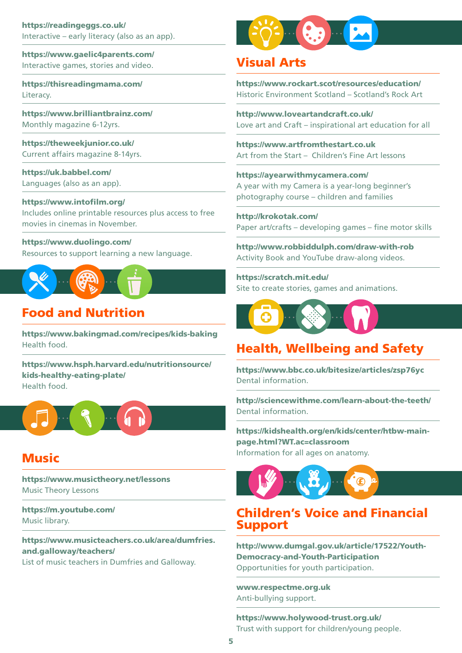<https://readingeggs.co.uk/> Interactive – early literacy (also as an app).

<https://www.gaelic4parents.com/> Interactive games, stories and video.

<https://thisreadingmama.com/> Literacy.

[https://www.brilliantbrainz.com/](https://www.brilliantbrainz.com/?utm_campaign=1587999813&utm_source=google&utm_medium=cpc&utm_content=342463251321&utm_term=educational resources&adgroupid=68089308199&gclid=CjwKCAjw-4_mBRBuEiwA5xnFINRK4wfT59VFBZpsfCpqidGzbmkCyJq-iOuSU77_glIYe0LdnS8mBRoCz5EQAvD_BwE) Monthly magazine 6-12yrs.

<https://theweekjunior.co.uk/> Current affairs magazine 8-14yrs.

<https://uk.babbel.com/> Languages (also as an app).

[https://www.intoflm.org/](https://www.intofilm.org/)  Includes online printable resources plus access to free movies in cinemas in November.

[https://www.duolingo.com/](https://eur03.safelinks.protection.outlook.com/?url=https%3A%2F%2Fwww.duolingo.com%2F&data=02%7C01%7C%7Ca4d786601bbe402f46d908d82e3cb3bf%7Cbd2e1df68d5a4867a647487c2a7402de%7C0%7C0%7C637310185544438691&sdata=2ofXzyz5L5o2LYJkm2%2FknT9DVSpw3l%2BoIXhzM6YHm6M%3D&reserved=0) Resources to support learning a new language.



# Food and Nutrition

 <https://www.bakingmad.com/recipes/kids-baking> Health food.

[https://www.hsph.harvard.edu/nutritionsource/](https://www.hsph.harvard.edu/nutritionsource/kids-healthy-eating-plate/) [kids-healthy-eating-plate/](https://www.hsph.harvard.edu/nutritionsource/kids-healthy-eating-plate/)  Health food.



### Music

[https://www.musictheory.net/lessons](https://eur03.safelinks.protection.outlook.com/?url=https%3A%2F%2Fwww.musictheory.net%2Flessons&data=04|01||f9a6f9eb698f49963dfb08d9a37c0ce7|bd2e1df68d5a4867a647487c2a7402de|0|0|637720576568145644|Unknown|TWFpbGZsb3d8eyJWIjoiMC4wLjAwMDAiLCJQIjoiV2luMzIiLCJBTiI6Ik1haWwiLCJXVCI6Mn0%3D|3000&sdata=wx%2BiCqdZ%2BINR%2B2rfVSAWytx%2B48GASvsrADJTORwvLg0%3D&reserved=0)  Music Theory Lessons

<https://m.youtube.com/> Music library.

 [and.galloway/teachers/](https://www.musicteachers.co.uk/area/dumfries.and.galloway/teachers/) [https://www.musicteachers.co.uk/area/dumfries.](https://www.musicteachers.co.uk/area/dumfries.and.galloway/teachers/) 

List of music teachers in Dumfries and Galloway.



## Visual Arts

<https://www.rockart.scot/resources/education/> Historic Environment Scotland – Scotland's Rock Art

[http://www.loveartandcraft.co.uk/](https://eur03.safelinks.protection.outlook.com/?url=http%3A%2F%2Fwww.loveartandcraft.co.uk%2F&data=04|01||f9a6f9eb698f49963dfb08d9a37c0ce7|bd2e1df68d5a4867a647487c2a7402de|0|0|637720576568135692|Unknown|TWFpbGZsb3d8eyJWIjoiMC4wLjAwMDAiLCJQIjoiV2luMzIiLCJBTiI6Ik1haWwiLCJXVCI6Mn0%3D|3000&sdata=Lqson%2FfaAW0GAL45Fcfp0%2Fdrtftykm5HyS2uPT5AKqQ%3D&reserved=0)  Love art and Craft – inspirational art education for all

<https://www.artfromthestart.co.uk> Art from the Start – Children's Fine Art lessons

[https://ayearwithmycamera.com/](https://eur03.safelinks.protection.outlook.com/?url=https%3A%2F%2Fayearwithmycamera.com%2F&data=04|01||f9a6f9eb698f49963dfb08d9a37c0ce7|bd2e1df68d5a4867a647487c2a7402de|0|0|637720576568085912|Unknown|TWFpbGZsb3d8eyJWIjoiMC4wLjAwMDAiLCJQIjoiV2luMzIiLCJBTiI6Ik1haWwiLCJXVCI6Mn0%3D|3000&sdata=u1uMchUILf94PcZ3V9L5ZbkhSyuP967xzx3d9YtBhCA%3D&reserved=0)  A year with my Camera is a year-long beginner's photography course – children and families

[http://krokotak.com/](https://eur03.safelinks.protection.outlook.com/?url=http%3A%2F%2Fkrokotak.com%2F&data=04|01||f9a6f9eb698f49963dfb08d9a37c0ce7|bd2e1df68d5a4867a647487c2a7402de|0|0|637720576568066010|Unknown|TWFpbGZsb3d8eyJWIjoiMC4wLjAwMDAiLCJQIjoiV2luMzIiLCJBTiI6Ik1haWwiLCJXVCI6Mn0%3D|3000&sdata=wIjJ4xC0MKxtn4aeIy9YIK%2FAnGRKZbWJt3xxlVNd7SM%3D&reserved=0)  Paper art/crafts – developing games – fine motor skills

[http://www.robbiddulph.com/draw-with-rob](https://eur03.safelinks.protection.outlook.com/?url=http%3A%2F%2Fwww.robbiddulph.com%2Fdraw-with-rob&data=02%7C01%7C%7Ca4d786601bbe402f46d908d82e3cb3bf%7Cbd2e1df68d5a4867a647487c2a7402de%7C0%7C0%7C637310185544428738&sdata=6RahZ0T9RXCHl%2BLLls9X94k2qClwQYQXFNv3pGPCsM8%3D&reserved=0) Activity Book and YouTube draw-along videos.

<https://scratch.mit.edu/> Site to create stories, games and animations.



# Health, Wellbeing and Safety

[https://www.bbc.co.uk/bitesize/articles/zsp76yc](https://eur03.safelinks.protection.outlook.com/?url=https%3A%2F%2Fwww.bbc.co.uk%2Fbitesize%2Farticles%2Fzsp76yc&data=02%7C01%7C%7C96a62f92e8d644913dac08d7213f37c4%7Cbd2e1df68d5a4867a647487c2a7402de%7C0%7C0%7C637014427718526211&sdata=tYgTlW0BbLFUksNhWZAedvDZYTTb%2BLVb8uLIGIaKzM4%3D&reserved=0)  Dental information.

[http://sciencewithme.com/learn-about-the-teeth/](https://eur03.safelinks.protection.outlook.com/?url=http%3A%2F%2Fsciencewithme.com%2Flearn-about-the-teeth%2F&data=02%7C01%7C%7C96a62f92e8d644913dac08d7213f37c4%7Cbd2e1df68d5a4867a647487c2a7402de%7C0%7C0%7C637014427718536206&sdata=2mc4zXsMcprQyk7nmI8tQvVP6z9Eu%2F6F6zvLX4qduNo%3D&reserved=0) Dental information.

[https://kidshealth.org/en/kids/center/htbw-main](https://eur03.safelinks.protection.outlook.com/?url=https%3A%2F%2Fkidshealth.org%2Fen%2Fkids%2Fcenter%2Fhtbw-main-page.html%3FWT.ac%3Dclassroom&data=02%7C01%7C%7Ca4d786601bbe402f46d908d82e3cb3bf%7Cbd2e1df68d5a4867a647487c2a7402de%7C0%7C0%7C637310185544448647&sdata=tW4%2FRoEdcgxj%2F%2FRM%2FhG86BfvRheN%2BUG8t4fCT8LsLro%3D&reserved=0)[page.html?WT.ac=classroom](https://eur03.safelinks.protection.outlook.com/?url=https%3A%2F%2Fkidshealth.org%2Fen%2Fkids%2Fcenter%2Fhtbw-main-page.html%3FWT.ac%3Dclassroom&data=02%7C01%7C%7Ca4d786601bbe402f46d908d82e3cb3bf%7Cbd2e1df68d5a4867a647487c2a7402de%7C0%7C0%7C637310185544448647&sdata=tW4%2FRoEdcgxj%2F%2FRM%2FhG86BfvRheN%2BUG8t4fCT8LsLro%3D&reserved=0) Information for all ages on anatomy.



#### Children's Voice and Financial Support

[http://www.dumgal.gov.uk/article/17522/Youth-](http://www.dumgal.gov.uk/article/17522/Youth-Democracy-and-Youth-Participation)[Democracy-and-Youth-Participation](http://www.dumgal.gov.uk/article/17522/Youth-Democracy-and-Youth-Participation)  Opportunities for youth participation.

[www.respectme.org.uk](http://www.respectme.org.uk) Anti-bullying support.

<https://www.holywood-trust.org.uk/> Trust with support for children/young people.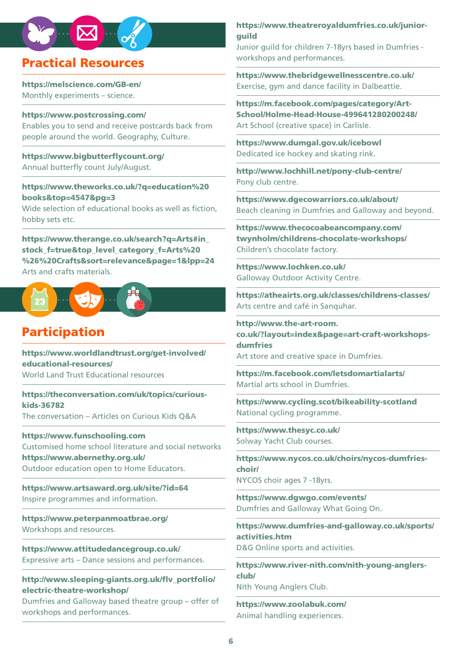# Practical Resources

<https://melscience.com/GB-en/> Monthly experiments – science.

[https://www.postcrossing.com](https://www.postcrossing.com/)/ Enables you to send and receive postcards back from people around the world. Geography, Culture.

[https://www.bigbutterfycount.org/](https://www.bigbutterflycount.org/) Annual butterfy count July/August.

[https://www.theworks.co.uk/?q=education%20](https://www.theworks.co.uk/?q=education%20books&top=4547&pg=3) [books&top=4547&pg=3](https://www.theworks.co.uk/?q=education%20books&top=4547&pg=3)  Wide selection of educational books as well as fiction.

hobby sets etc.

 [%26%20Crafts&sort=relevance&page=1&lpp=24](https://www.therange.co.uk/search?q=Arts#in_stock_f=true&top_level_category_f=Arts %26 Crafts&sort=relevance&page=1&lpp=24) [https://www.therange.co.uk/search?q=Arts#in\\_](https://www.therange.co.uk/search?q=Arts#in_stock_f=true&top_level_category_f=Arts %26 Crafts&sort=relevance&page=1&lpp=24)  [stock\\_f=true&top\\_level\\_category\\_f=Arts%20](https://www.therange.co.uk/search?q=Arts#in_stock_f=true&top_level_category_f=Arts %26 Crafts&sort=relevance&page=1&lpp=24) Arts and crafts materials.



# Participation

[https://www.worldlandtrust.org/get-involved/](https://eur03.safelinks.protection.outlook.com/?url=https%3A%2F%2Fwww.worldlandtrust.org%2Fget-involved%2Feducational-resources%2F&data=04|01||f9a6f9eb698f49963dfb08d9a37c0ce7|bd2e1df68d5a4867a647487c2a7402de|0|0|637720576568085912|Unknown|TWFpbGZsb3d8eyJWIjoiMC4wLjAwMDAiLCJQIjoiV2luMzIiLCJBTiI6Ik1haWwiLCJXVCI6Mn0%3D|3000&sdata=CX%2FWXoLlbkfgYXmlanAfaD3EyeAJxw5J3sU%2Bahxf%2FD4%3D&reserved=0) [educational-resources/](https://eur03.safelinks.protection.outlook.com/?url=https%3A%2F%2Fwww.worldlandtrust.org%2Fget-involved%2Feducational-resources%2F&data=04|01||f9a6f9eb698f49963dfb08d9a37c0ce7|bd2e1df68d5a4867a647487c2a7402de|0|0|637720576568085912|Unknown|TWFpbGZsb3d8eyJWIjoiMC4wLjAwMDAiLCJQIjoiV2luMzIiLCJBTiI6Ik1haWwiLCJXVCI6Mn0%3D|3000&sdata=CX%2FWXoLlbkfgYXmlanAfaD3EyeAJxw5J3sU%2Bahxf%2FD4%3D&reserved=0) World Land Trust Educational resources

[https://theconversation.com/uk/topics/curious](https://eur03.safelinks.protection.outlook.com/?url=https%3A%2F%2Ftheconversation.com%2Fuk%2Ftopics%2Fcurious-kids-36782&data=04|01||f9a6f9eb698f49963dfb08d9a37c0ce7|bd2e1df68d5a4867a647487c2a7402de|0|0|637720576568095868|Unknown|TWFpbGZsb3d8eyJWIjoiMC4wLjAwMDAiLCJQIjoiV2luMzIiLCJBTiI6Ik1haWwiLCJXVCI6Mn0%3D|3000&sdata=dLqmoSyanYAr%2FhXvlUcYYkF4dCPNX1VCfOlDjOsoulo%3D&reserved=0)[kids-36782](https://eur03.safelinks.protection.outlook.com/?url=https%3A%2F%2Ftheconversation.com%2Fuk%2Ftopics%2Fcurious-kids-36782&data=04|01||f9a6f9eb698f49963dfb08d9a37c0ce7|bd2e1df68d5a4867a647487c2a7402de|0|0|637720576568095868|Unknown|TWFpbGZsb3d8eyJWIjoiMC4wLjAwMDAiLCJQIjoiV2luMzIiLCJBTiI6Ik1haWwiLCJXVCI6Mn0%3D|3000&sdata=dLqmoSyanYAr%2FhXvlUcYYkF4dCPNX1VCfOlDjOsoulo%3D&reserved=0) The conversation – Articles on Curious Kids Q&A

[https://www.funschooling.com](https://www.funschooling.com/?fbclid=IwAR2ZCQHgfc0DB5cbmAAbSs40M-4fCTizo9hGaiwcjCQC9YkTdGhMICT_T9w)  Customised home school literature and social networks <https://www.abernethy.org.uk/> Outdoor education open to Home Educators.

<https://www.artsaward.org.uk/site/?id=64> Inspire programmes and information.

 <https://www.peterpanmoatbrae.org/> Workshops and resources.

<https://www.attitudedancegroup.co.uk/> Expressive arts – Dance sessions and performances.

http://www.sleeping-giants.org.uk/flv\_portfolio/ [electric-theatre-workshop/](http://www.sleeping-giants.org.uk/flv_portfolio/electric-theatre-workshop/) 

Dumfries and Galloway based theatre group – offer of workshops and performances.

[https://www.theatreroyaldumfries.co.uk/junior](https://www.theatreroyaldumfries.co.uk/junior-guild)[guild](https://www.theatreroyaldumfries.co.uk/junior-guild)

Junior guild for children 7-18yrs based in Dumfries workshops and performances.

 <https://www.thebridgewellnesscentre.co.uk/>Exercise, gym and dance facility in Dalbeattie.

[https://m.facebook.com/pages/category/Art-](https://m.facebook.com/pages/category/Art-School/Holme-Head-House-499641280200248/)[School/Holme-Head-House-499641280200248/](https://m.facebook.com/pages/category/Art-School/Holme-Head-House-499641280200248/)  Art School (creative space) in Carlisle.

<https://www.dumgal.gov.uk/icebowl> Dedicated ice hockey and skating rink.

<http://www.lochhill.net/pony-club-centre/> Pony club centre.

<https://www.dgecowarriors.co.uk/about/> Beach cleaning in Dumfries and Galloway and beyond.

[https://www.thecocoabeancompany.com/](https://www.thecocoabeancompany.com/twynholm/childrens-chocolate-workshops/)  [twynholm/childrens-chocolate-workshops/](https://www.thecocoabeancompany.com/twynholm/childrens-chocolate-workshops/) Children's chocolate factory.

<https://www.lochken.co.uk/> Galloway Outdoor Activity Centre.

 <https://atheairts.org.uk/classes/childrens-classes/>Arts centre and café in Sanquhar.

[http://www.the-art-room.](http://www.the-art-room.co.uk/?layout=index&page=art-craft-workshops-dumfries) [co.uk/?layout=index&page=art-craft-workshops](http://www.the-art-room.co.uk/?layout=index&page=art-craft-workshops-dumfries)[dumfries](http://www.the-art-room.co.uk/?layout=index&page=art-craft-workshops-dumfries) Art store and creative space in Dumfries.

<https://m.facebook.com/letsdomartialarts/> Martial arts school in Dumfries.

 <https://www.cycling.scot/bikeability-scotland> National cycling programme.

<https://www.thesyc.co.uk/> Solway Yacht Club courses.

[https://www.nycos.co.uk/choirs/nycos-dumfries](https://www.nycos.co.uk/choirs/nycos-dumfries-choir/)[choir/](https://www.nycos.co.uk/choirs/nycos-dumfries-choir/)  NYCOS choir ages 7 -18yrs.

<https://www.dgwgo.com/events/> Dumfries and Galloway What Going On.

[https://www.dumfries-and-galloway.co.uk/sports/](https://www.dumfries-and-galloway.co.uk/sports/activities.htm)  [activities.htm](https://www.dumfries-and-galloway.co.uk/sports/activities.htm) D&G Online sports and activities.

[https://www.river-nith.com/nith-young-anglers](https://www.river-nith.com/nith-young-anglers-club/)[club/](https://www.river-nith.com/nith-young-anglers-club/) Nith Young Anglers Club.

<https://www.zoolabuk.com/> Animal handling experiences.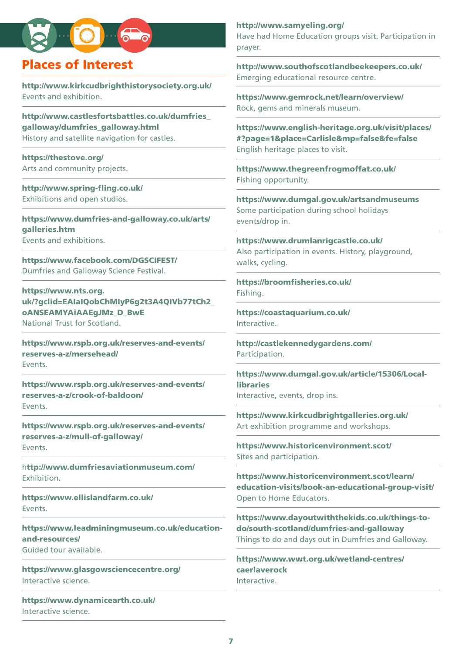# Places of Interest

<http://www.kirkcudbrighthistorysociety.org.uk/> Events and exhibition.

[http://www.castlesfortsbattles.co.uk/dumfries\\_](http://www.castlesfortsbattles.co.uk/dumfries_galloway/dumfries_galloway.html) [galloway/dumfries\\_galloway.html](http://www.castlesfortsbattles.co.uk/dumfries_galloway/dumfries_galloway.html) History and satellite navigation for castles.

[https://thestove.org/](https://thestove.org/about-the-stove/) Arts and community projects.

[http://www.spring-fing.co.uk/](http://www.spring-fling.co.uk/)  Exhibitions and open studios.

[https://www.dumfries-and-galloway.co.uk/arts/](https://www.dumfries-and-galloway.co.uk/arts/galleries.htm) [galleries.htm](https://www.dumfries-and-galloway.co.uk/arts/galleries.htm)  Events and exhibitions.

<https://www.facebook.com/DGSCIFEST/> Dumfries and Galloway Science Festival.

[https://www.nts.org.](https://www.nts.org.uk/?gclid=EAIaIQobChMIyP6g2t3A4QIVb77tCh2_oANSEAMYAiAAEgJMz_D_BwE) [uk/?gclid=EAIaIQobChMIyP6g2t3A4QIVb77tCh2\\_](https://www.nts.org.uk/?gclid=EAIaIQobChMIyP6g2t3A4QIVb77tCh2_oANSEAMYAiAAEgJMz_D_BwE)  [oANSEAMYAiAAEgJMz\\_D\\_BwE](https://www.nts.org.uk/?gclid=EAIaIQobChMIyP6g2t3A4QIVb77tCh2_oANSEAMYAiAAEgJMz_D_BwE) National Trust for Scotland.

[https://www.rspb.org.uk/reserves-and-events/](https://www.rspb.org.uk/reserves-and-events/reserves-a-z/mersehead)  [reserves-a-z/mersehead](https://www.rspb.org.uk/reserves-and-events/reserves-a-z/mersehead)/ Events.

[https://www.rspb.org.uk/reserves-and-events/](https://www.rspb.org.uk/reserves-and-events/reserves-a-z/crook-of-baldoon/)  [reserves-a-z/crook-of-baldoon/](https://www.rspb.org.uk/reserves-and-events/reserves-a-z/crook-of-baldoon/)  **Events** 

[https://www.rspb.org.uk/reserves-and-events/](https://www.rspb.org.uk/reserves-and-events/reserves-a-z/mull-of-galloway/)  [reserves-a-z/mull-of-galloway](https://www.rspb.org.uk/reserves-and-events/reserves-a-z/mull-of-galloway/)/ Events.

h[ttp://www.dumfriesaviationmuseum.com/](http://www.dumfriesaviationmuseum.com/)  Exhibition.

<https://www.ellislandfarm.co.uk/> Events.

[https://www.leadminingmuseum.co.uk/education](https://www.leadminingmuseum.co.uk/education-and-resources/)[and-resources/](https://www.leadminingmuseum.co.uk/education-and-resources/) Guided tour available.

<https://www.glasgowsciencecentre.org/> Interactive science.

<https://www.dynamicearth.co.uk/> Interactive science.

#### <http://www.samyeling.org/>

Have had Home Education groups visit. Participation in prayer.

[http://www.southofscotlandbeekeepers.co.uk/](http://www.southofscotlandbeekeepers.co.uk/peoples-project/)  Emerging educational resource centre.

<https://www.gemrock.net/learn/overview/> Rock, gems and minerals museum.

[https://www.english-heritage.org.uk/visit/places/](https://www.english-heritage.org.uk/visit/places/#?page=1&place=Carlisle&mp=false&fe=false)  [#?page=1&place=Carlisle&mp=false&fe=false](https://www.english-heritage.org.uk/visit/places/#?page=1&place=Carlisle&mp=false&fe=false) English heritage places to visit.

<https://www.thegreenfrogmoffat.co.uk/> Fishing opportunity.

<https://www.dumgal.gov.uk/artsandmuseums> Some participation during school holidays events/drop in.

<https://www.drumlanrigcastle.co.uk/> Also participation in events. History, playground, walks, cycling.

https://broomfisheries.co.uk/ Fishing.

<https://coastaquarium.co.uk/> Interactive.

<http://castlekennedygardens.com/> Participation.

[https://www.dumgal.gov.uk/article/15306/Local](https://www.dumgal.gov.uk/article/15306/Local-libraries)[libraries](https://www.dumgal.gov.uk/article/15306/Local-libraries)  Interactive, events, drop ins.

<https://www.kirkcudbrightgalleries.org.uk/> Art exhibition programme and workshops.

<https://www.historicenvironment.scot/> Sites and participation.

[https://www.historicenvironment.scot/learn/](https://www.historicenvironment.scot/learn/education-visits/book-an-educational-group-visit/)  [education-visits/book-an-educational-group-visit/](https://www.historicenvironment.scot/learn/education-visits/book-an-educational-group-visit/) Open to Home Educators.

[https://www.dayoutwiththekids.co.uk/things-to](https://www.dayoutwiththekids.co.uk/things-to-do/south-scotland/dumfries-and-galloway)[do/south-scotland/dumfries-and-galloway](https://www.dayoutwiththekids.co.uk/things-to-do/south-scotland/dumfries-and-galloway)  Things to do and days out in Dumfries and Galloway.

[https://www.wwt.org.uk/wetland-centres/](https://www.wwt.org.uk/wetland-centres/caerlaverock)  [caerlaverock](https://www.wwt.org.uk/wetland-centres/caerlaverock) Interactive.